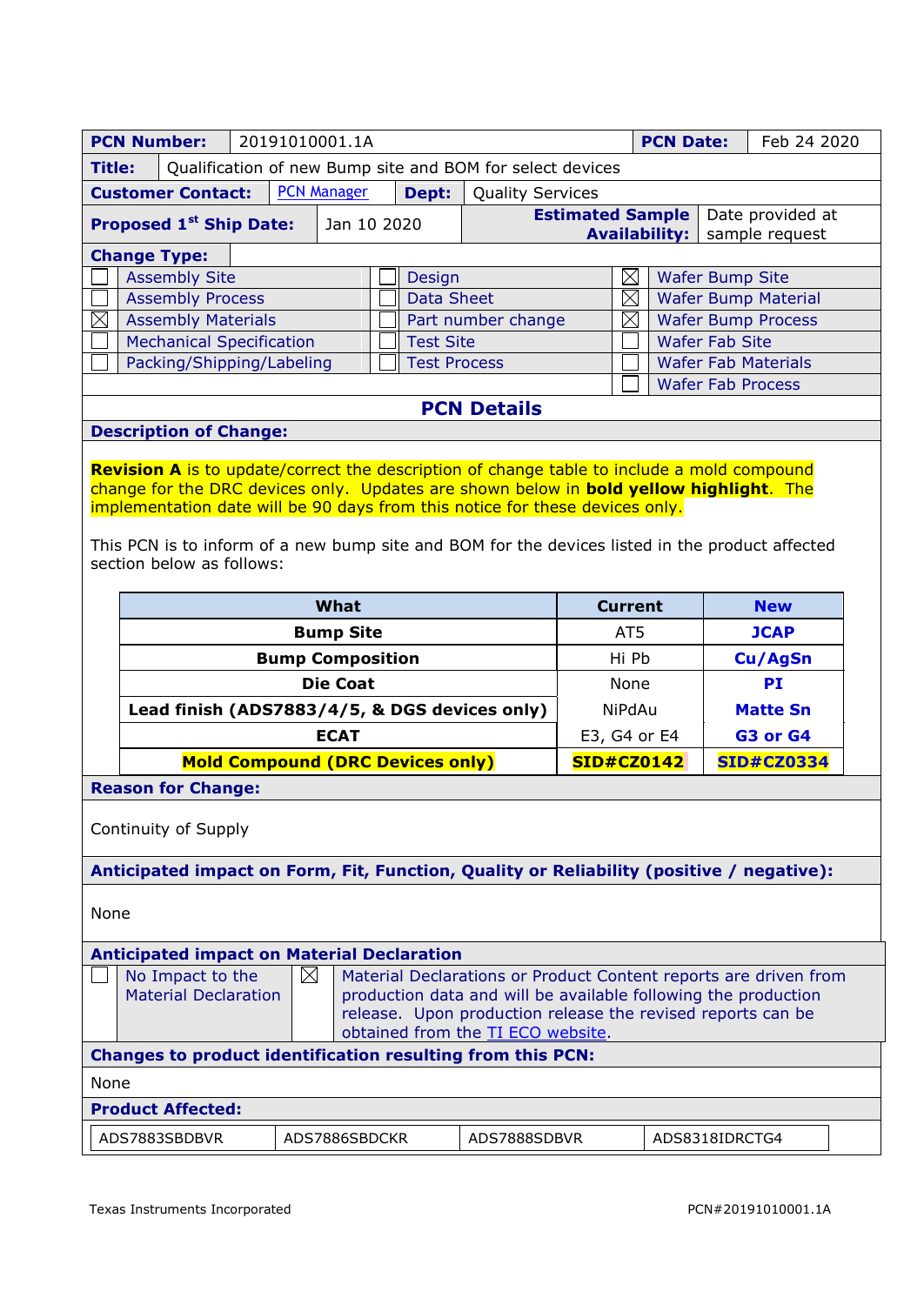|                                                                                                                                                                                                                                                                                                                | <b>PCN Number:</b><br>20191010001.1A<br><b>PCN Date:</b>                           |  |             |             | Feb 24 2020             |                                         |              |                                                            |                                                    |    |            |  |
|----------------------------------------------------------------------------------------------------------------------------------------------------------------------------------------------------------------------------------------------------------------------------------------------------------------|------------------------------------------------------------------------------------|--|-------------|-------------|-------------------------|-----------------------------------------|--------------|------------------------------------------------------------|----------------------------------------------------|----|------------|--|
|                                                                                                                                                                                                                                                                                                                | <b>Title:</b><br>Qualification of new Bump site and BOM for select devices         |  |             |             |                         |                                         |              |                                                            |                                                    |    |            |  |
|                                                                                                                                                                                                                                                                                                                | <b>PCN Manager</b><br><b>Customer Contact:</b><br>Dept:<br><b>Quality Services</b> |  |             |             |                         |                                         |              |                                                            |                                                    |    |            |  |
| Proposed 1 <sup>st</sup> Ship Date:                                                                                                                                                                                                                                                                            |                                                                                    |  | Jan 10 2020 |             | <b>Estimated Sample</b> |                                         |              | Date provided at<br><b>Availability:</b><br>sample request |                                                    |    |            |  |
|                                                                                                                                                                                                                                                                                                                | <b>Change Type:</b>                                                                |  |             |             |                         |                                         |              |                                                            |                                                    |    |            |  |
|                                                                                                                                                                                                                                                                                                                | <b>Assembly Site</b>                                                               |  |             |             |                         | $\boxtimes$<br>Design                   |              |                                                            | <b>Wafer Bump Site</b>                             |    |            |  |
|                                                                                                                                                                                                                                                                                                                | <b>Assembly Process</b>                                                            |  |             |             | <b>Data Sheet</b>       |                                         |              | $\boxtimes$                                                | <b>Wafer Bump Material</b>                         |    |            |  |
| $\boxtimes$                                                                                                                                                                                                                                                                                                    | <b>Assembly Materials</b><br><b>Mechanical Specification</b>                       |  |             |             |                         | Part number change                      |              | $\boxtimes$                                                | <b>Wafer Bump Process</b><br><b>Wafer Fab Site</b> |    |            |  |
|                                                                                                                                                                                                                                                                                                                | Packing/Shipping/Labeling                                                          |  |             |             |                         | <b>Test Site</b><br><b>Test Process</b> |              |                                                            | <b>Wafer Fab Materials</b>                         |    |            |  |
|                                                                                                                                                                                                                                                                                                                |                                                                                    |  |             |             |                         |                                         |              |                                                            | <b>Wafer Fab Process</b>                           |    |            |  |
|                                                                                                                                                                                                                                                                                                                |                                                                                    |  |             |             |                         | <b>PCN Details</b>                      |              |                                                            |                                                    |    |            |  |
|                                                                                                                                                                                                                                                                                                                | <b>Description of Change:</b>                                                      |  |             |             |                         |                                         |              |                                                            |                                                    |    |            |  |
| change for the DRC devices only. Updates are shown below in <b>bold yellow highlight</b> . The<br>implementation date will be 90 days from this notice for these devices only.<br>This PCN is to inform of a new bump site and BOM for the devices listed in the product affected<br>section below as follows: |                                                                                    |  |             |             |                         |                                         |              |                                                            |                                                    |    |            |  |
|                                                                                                                                                                                                                                                                                                                |                                                                                    |  |             | What        |                         |                                         |              | <b>Current</b>                                             |                                                    |    | <b>New</b> |  |
|                                                                                                                                                                                                                                                                                                                | <b>Bump Site</b>                                                                   |  |             |             |                         | AT5                                     |              |                                                            | <b>JCAP</b>                                        |    |            |  |
|                                                                                                                                                                                                                                                                                                                | <b>Bump Composition</b>                                                            |  |             |             |                         |                                         | Hi Pb        |                                                            |                                                    |    | Cu/AgSn    |  |
|                                                                                                                                                                                                                                                                                                                | <b>Die Coat</b>                                                                    |  |             |             |                         | None                                    |              |                                                            |                                                    | PI |            |  |
|                                                                                                                                                                                                                                                                                                                | Lead finish (ADS7883/4/5, & DGS devices only)                                      |  |             |             |                         | <b>NiPdAu</b>                           |              |                                                            | <b>Matte Sn</b>                                    |    |            |  |
|                                                                                                                                                                                                                                                                                                                |                                                                                    |  |             | <b>ECAT</b> |                         |                                         | E3, G4 or E4 |                                                            |                                                    |    | G3 or G4   |  |
|                                                                                                                                                                                                                                                                                                                | <b>Mold Compound (DRC Devices only)</b>                                            |  |             |             | <b>SID#CZ0142</b>       |                                         |              |                                                            | <b>SID#CZ0334</b>                                  |    |            |  |
| <b>Reason for Change:</b>                                                                                                                                                                                                                                                                                      |                                                                                    |  |             |             |                         |                                         |              |                                                            |                                                    |    |            |  |
| Continuity of Supply                                                                                                                                                                                                                                                                                           |                                                                                    |  |             |             |                         |                                         |              |                                                            |                                                    |    |            |  |
| Anticipated impact on Form, Fit, Function, Quality or Reliability (positive / negative):                                                                                                                                                                                                                       |                                                                                    |  |             |             |                         |                                         |              |                                                            |                                                    |    |            |  |
| None                                                                                                                                                                                                                                                                                                           |                                                                                    |  |             |             |                         |                                         |              |                                                            |                                                    |    |            |  |
| <b>Anticipated impact on Material Declaration</b>                                                                                                                                                                                                                                                              |                                                                                    |  |             |             |                         |                                         |              |                                                            |                                                    |    |            |  |
| $\boxtimes$<br>No Impact to the<br>Material Declarations or Product Content reports are driven from<br><b>Material Declaration</b><br>production data and will be available following the production<br>release. Upon production release the revised reports can be<br>obtained from the TI ECO website.       |                                                                                    |  |             |             |                         |                                         |              |                                                            |                                                    |    |            |  |
|                                                                                                                                                                                                                                                                                                                |                                                                                    |  |             |             |                         |                                         |              |                                                            |                                                    |    |            |  |
|                                                                                                                                                                                                                                                                                                                | <b>Changes to product identification resulting from this PCN:</b>                  |  |             |             |                         |                                         |              |                                                            |                                                    |    |            |  |
| None                                                                                                                                                                                                                                                                                                           |                                                                                    |  |             |             |                         |                                         |              |                                                            |                                                    |    |            |  |
|                                                                                                                                                                                                                                                                                                                | <b>Product Affected:</b>                                                           |  |             |             |                         |                                         |              |                                                            |                                                    |    |            |  |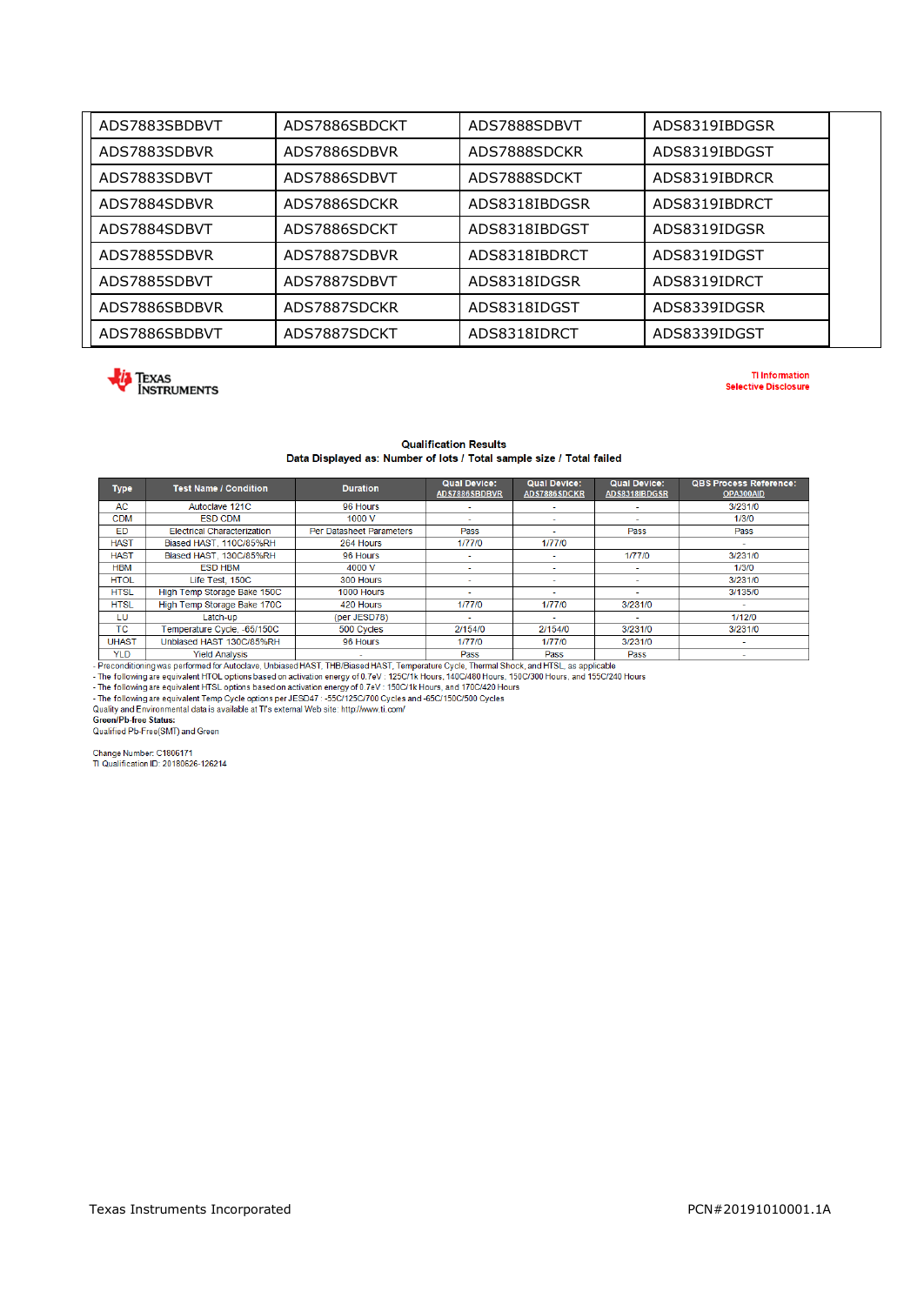| ADS7883SBDBVT | ADS7886SBDCKT | ADS7888SDBVT  | ADS8319IBDGSR |  |
|---------------|---------------|---------------|---------------|--|
| ADS7883SDBVR  | ADS7886SDBVR  | ADS7888SDCKR  | ADS8319IBDGST |  |
| ADS7883SDBVT  | ADS7886SDBVT  | ADS7888SDCKT  | ADS8319IBDRCR |  |
| ADS7884SDBVR  | ADS7886SDCKR  | ADS8318IBDGSR | ADS8319IBDRCT |  |
| ADS7884SDBVT  | ADS7886SDCKT  | ADS8318IBDGST | ADS8319IDGSR  |  |
| ADS7885SDBVR  | ADS7887SDBVR  | ADS8318IBDRCT | ADS8319IDGST  |  |
| ADS7885SDBVT  | ADS7887SDBVT  | ADS8318IDGSR  | ADS8319IDRCT  |  |
| ADS7886SBDBVR | ADS7887SDCKR  | ADS8318IDGST  | ADS8339IDGSR  |  |
| ADS7886SBDBVT | ADS7887SDCKT  | ADS8318IDRCT  | ADS8339IDGST  |  |



**TI Information Selective Disclosure** 

## **Qualification Results** Data Displayed as: Number of lots / Total sample size / Total failed

| <b>Type</b>                                                                                                                                                                                                                                                                                                                                                                                                                                                                                                                                                                                                                                                                                             | <b>Test Name / Condition</b>                                        | <b>Duration</b>          | <b>Qual Device:</b><br>ADS7886SBDBVR | <b>Qual Device:</b><br>ADS7886SDCKR | <b>Qual Device:</b><br>ADS8318IBDGSR | <b>QBS Process Reference:</b><br>OPA300AID |  |
|---------------------------------------------------------------------------------------------------------------------------------------------------------------------------------------------------------------------------------------------------------------------------------------------------------------------------------------------------------------------------------------------------------------------------------------------------------------------------------------------------------------------------------------------------------------------------------------------------------------------------------------------------------------------------------------------------------|---------------------------------------------------------------------|--------------------------|--------------------------------------|-------------------------------------|--------------------------------------|--------------------------------------------|--|
| <b>AC</b>                                                                                                                                                                                                                                                                                                                                                                                                                                                                                                                                                                                                                                                                                               | Autoclave 121C                                                      | 96 Hours                 |                                      |                                     |                                      | 3/231/0                                    |  |
| <b>CDM</b>                                                                                                                                                                                                                                                                                                                                                                                                                                                                                                                                                                                                                                                                                              | <b>ESD CDM</b>                                                      | 1000 V                   | $\sim$                               | $\sim$                              | $\sim$                               | 1/3/0                                      |  |
| ED                                                                                                                                                                                                                                                                                                                                                                                                                                                                                                                                                                                                                                                                                                      | <b>Electrical Characterization</b>                                  | Per Datasheet Parameters | Pass                                 | ٠                                   | Pass                                 | Pass                                       |  |
| <b>HAST</b>                                                                                                                                                                                                                                                                                                                                                                                                                                                                                                                                                                                                                                                                                             | Biased HAST, 110C/85%RH                                             | 264 Hours                | 1/77/0                               | 1/77/0                              |                                      | $\sim$                                     |  |
| <b>HAST</b>                                                                                                                                                                                                                                                                                                                                                                                                                                                                                                                                                                                                                                                                                             | Biased HAST, 130C/85%RH                                             | 96 Hours                 |                                      |                                     | 1/77/0                               | 3/231/0                                    |  |
| <b>HBM</b>                                                                                                                                                                                                                                                                                                                                                                                                                                                                                                                                                                                                                                                                                              | <b>ESD HBM</b>                                                      | 4000 V                   | ٠                                    | ÷                                   |                                      | 1/3/0                                      |  |
| <b>HTOL</b>                                                                                                                                                                                                                                                                                                                                                                                                                                                                                                                                                                                                                                                                                             | Life Test, 150C                                                     | 300 Hours                |                                      | ٠                                   | ٠                                    | 3/231/0                                    |  |
| <b>HTSL</b>                                                                                                                                                                                                                                                                                                                                                                                                                                                                                                                                                                                                                                                                                             | High Temp Storage Bake 150C                                         | 1000 Hours               | ٠                                    | $\sim$                              | $\sim$                               | 3/135/0                                    |  |
| <b>HTSL</b>                                                                                                                                                                                                                                                                                                                                                                                                                                                                                                                                                                                                                                                                                             | High Temp Storage Bake 170C                                         | 420 Hours                | 1/77/0                               | 1/77/0                              | 3/231/0                              | $\overline{a}$                             |  |
| LU                                                                                                                                                                                                                                                                                                                                                                                                                                                                                                                                                                                                                                                                                                      | Latch-up                                                            | (per JESD78)             |                                      | $\sim$                              | ٠                                    | 1/12/0                                     |  |
| <b>TC</b>                                                                                                                                                                                                                                                                                                                                                                                                                                                                                                                                                                                                                                                                                               | Temperature Cycle, -65/150C<br>500 Cycles                           |                          | 2/154/0                              | 2/154/0                             | 3/231/0                              | 3/231/0                                    |  |
| <b>UHAST</b>                                                                                                                                                                                                                                                                                                                                                                                                                                                                                                                                                                                                                                                                                            | Unbiased HAST 130C/85%RH<br>96 Hours<br>1/77/0<br>1/77/0<br>3/231/0 |                          |                                      | $\overline{\phantom{a}}$            |                                      |                                            |  |
| <b>YLD</b>                                                                                                                                                                                                                                                                                                                                                                                                                                                                                                                                                                                                                                                                                              | <b>Yield Analysis</b><br>Pass<br>Pass<br>Pass                       |                          |                                      |                                     |                                      |                                            |  |
| - Preconditioning was performed for Autoclave, Unbiased HAST, THB/Biased HAST, Temperature Cycle, Thermal Shock, and HTSL, as applicable<br>- The following are equivalent HTOL options based on activation energy of 0.7eV : 125C/1k Hours, 140C/480 Hours, 150C/300 Hours, and 155C/240 Hours<br>- The following are equivalent HTSL options based on activation energy of 0.7eV : 150C/1k Hours, and 170C/420 Hours<br>- The following are equivalent Temp Cycle options per JESD47 : -55C/125C/700 Cycles and -65C/150C/500 Cycles<br>Quality and Environmental data is available at TI's external Web site: http://www.ti.com/<br><b>Green/Pb-free Status:</b><br>Qualified Pb-Free(SMT) and Green |                                                                     |                          |                                      |                                     |                                      |                                            |  |

Change Number: C1806171<br>TI Qualification ID: 20180626-126214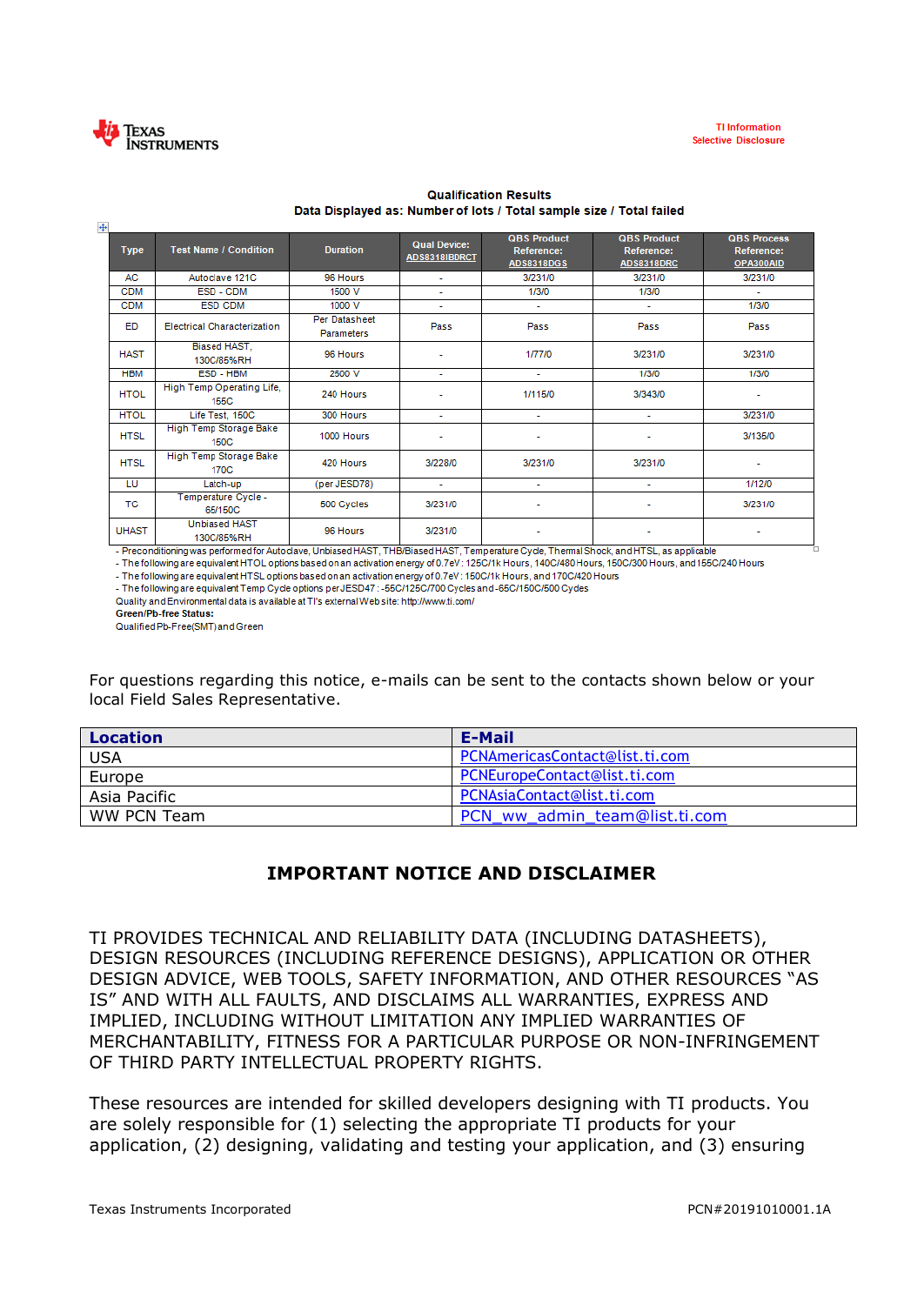

| $\ddot{\ddagger}$             |                                                                     |                                                                                                                                                 |                                      |                                                       |                                                |                                               |
|-------------------------------|---------------------------------------------------------------------|-------------------------------------------------------------------------------------------------------------------------------------------------|--------------------------------------|-------------------------------------------------------|------------------------------------------------|-----------------------------------------------|
| <b>Type</b>                   | <b>Test Name / Condition</b>                                        | <b>Duration</b>                                                                                                                                 | <b>Qual Device:</b><br>ADS8318IBDRCT | <b>QBS Product</b><br>Reference:<br><b>ADS8318DGS</b> | <b>QBS Product</b><br>Reference:<br>ADS8318DRC | <b>QBS Process</b><br>Reference:<br>OPA300AID |
| AC                            | Autoclave 121C                                                      | 96 Hours                                                                                                                                        | $\sim$                               | 3/231/0                                               | 3/231/0                                        | 3/231/0                                       |
| <b>CDM</b>                    | ESD - CDM                                                           | 1500 V                                                                                                                                          | ÷.                                   | 1/3/0                                                 | 1/3/0                                          | ÷.                                            |
| <b>CDM</b>                    | <b>ESD CDM</b>                                                      | 1000 V                                                                                                                                          | $\sim$                               | $\sim$                                                | $\sim$                                         | 1/3/0                                         |
| ED                            | <b>Electrical Characterization</b>                                  | Per Datasheet<br><b>Parameters</b>                                                                                                              | Pass                                 | Pass                                                  | Pass                                           | Pass                                          |
| <b>HAST</b>                   | Biased HAST.<br>130C/85%RH                                          | 96 Hours                                                                                                                                        |                                      | 1/77/0                                                | 3/231/0                                        | 3/231/0                                       |
| <b>HBM</b>                    | ESD - HBM                                                           | 2500 V                                                                                                                                          | a.                                   | ÷                                                     | 1/3/0                                          | 1/3/0                                         |
| <b>HTOL</b>                   | High Temp Operating Life,<br>155C                                   | 240 Hours                                                                                                                                       |                                      | 1/115/0                                               | 3/343/0                                        | ۰                                             |
| <b>HTOL</b>                   | Life Test, 150C                                                     | 300 Hours                                                                                                                                       | $\sim$                               | $\sim$                                                | $\sim$                                         | 3/231/0                                       |
| <b>HTSL</b>                   | High Temp Storage Bake<br><b>150C</b>                               | 1000 Hours                                                                                                                                      |                                      | ٠                                                     |                                                | 3/135/0                                       |
| <b>HTSL</b>                   | High Temp Storage Bake<br>170C                                      | 420 Hours                                                                                                                                       | 3/228/0                              | 3/231/0                                               | 3/231/0                                        | ٠                                             |
| LU                            | Latch-up                                                            | (per JESD78)                                                                                                                                    | $\sim$                               | ٠                                                     | ÷                                              | 1/12/0                                        |
| <b>TC</b>                     | Temperature Cycle -<br>65/150C                                      | 500 Cycles                                                                                                                                      | 3/231/0                              | ٠                                                     |                                                | 3/231/0                                       |
| <b>UHAST</b><br>$\sim$ $\sim$ | <b>Unbiased HAST</b><br>130C/85%RH<br>and the state of the state of | 96 Hours<br>$\mathbf{r}$ and $\mathbf{r}$ and $\mathbf{r}$ are $\mathbf{r}$ and $\mathbf{r}$ are $\mathbf{r}$ and $\mathbf{r}$ and $\mathbf{r}$ | 3/231/0                              | $  -$<br><b>CONTRACTOR</b>                            | <b><i>ALCOHOL</i></b>                          | .                                             |

## **Qualification Results** Data Displayed as: Number of lots / Total sample size / Total failed

- Preconditioning was performed for Autoclave, Unbiased HAST, THB/Biased HAST, Temperature Cycle, Thermal Shock, and HTSL, as applicable<br>- The following are equivalent HTOL options based on an activation energy of 0.7eV : - The following are equivalent HTSL options based on an activation energy of 0.7eV : 150C/1k Hours, and 170C/420 Hours

- The following are equivalent Temp Cycle options per JESD47 : -55C/125C/700 Cycles and -65C/150C/500 Cycles

Quality and Environmental data is available at TI's external Web site: http://www.ti.com/

Green/Pb-free Status:

Qualified Pb-Free(SMT) and Green

For questions regarding this notice, e-mails can be sent to the contacts shown below or your local Field Sales Representative.

| <b>Location</b> | <b>E-Mail</b>                  |
|-----------------|--------------------------------|
| <b>USA</b>      | PCNAmericasContact@list.ti.com |
| Europe          | PCNEuropeContact@list.ti.com   |
| Asia Pacific    | PCNAsiaContact@list.ti.com     |
| WW PCN Team     | PCN ww_admin_team@list.ti.com  |

## **IMPORTANT NOTICE AND DISCLAIMER**

TI PROVIDES TECHNICAL AND RELIABILITY DATA (INCLUDING DATASHEETS), DESIGN RESOURCES (INCLUDING REFERENCE DESIGNS), APPLICATION OR OTHER DESIGN ADVICE, WEB TOOLS, SAFETY INFORMATION, AND OTHER RESOURCES "AS IS" AND WITH ALL FAULTS, AND DISCLAIMS ALL WARRANTIES, EXPRESS AND IMPLIED, INCLUDING WITHOUT LIMITATION ANY IMPLIED WARRANTIES OF MERCHANTABILITY, FITNESS FOR A PARTICULAR PURPOSE OR NON-INFRINGEMENT OF THIRD PARTY INTELLECTUAL PROPERTY RIGHTS.

These resources are intended for skilled developers designing with TI products. You are solely responsible for (1) selecting the appropriate TI products for your application, (2) designing, validating and testing your application, and (3) ensuring